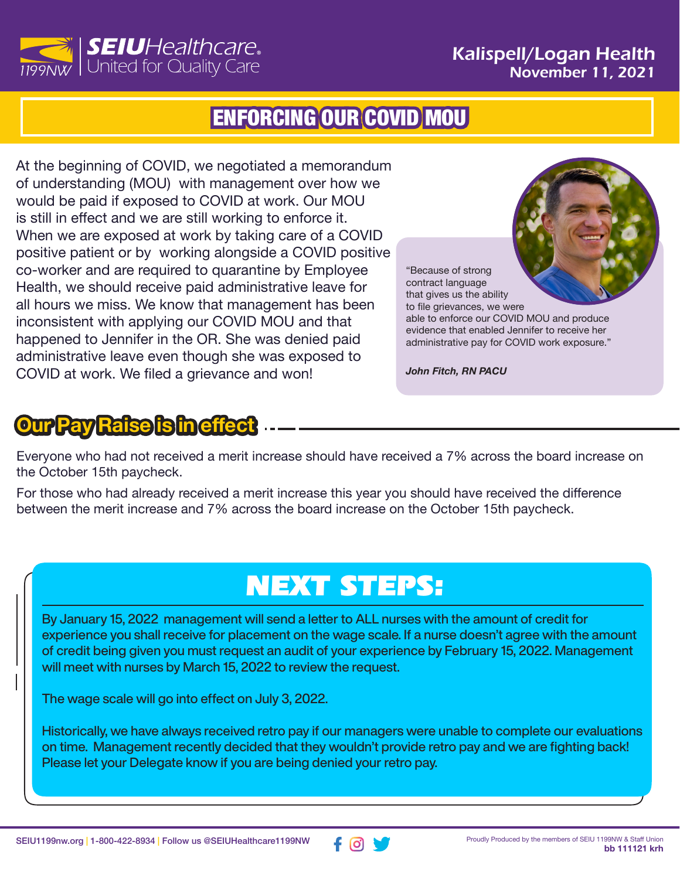

# ENFORCING OUR COVID MOU

At the beginning of COVID, we negotiated a memorandum of understanding (MOU) with management over how we would be paid if exposed to COVID at work. Our MOU is still in effect and we are still working to enforce it. When we are exposed at work by taking care of a COVID positive patient or by working alongside a COVID positive co-worker and are required to quarantine by Employee Health, we should receive paid administrative leave for all hours we miss. We know that management has been inconsistent with applying our COVID MOU and that happened to Jennifer in the OR. She was denied paid administrative leave even though she was exposed to COVID at work. We filed a grievance and won!



"Because of strong contract language that gives us the ability to file grievances, we were

able to enforce our COVID MOU and produce evidence that enabled Jennifer to receive her administrative pay for COVID work exposure."

*John Fitch, RN PACU*

Everyone who had not received a merit increase should have received a 7% across the board increase on the October 15th paycheck.

For those who had already received a merit increase this year you should have received the difference between the merit increase and 7% across the board increase on the October 15th paycheck.

# NEXT STEPS:

By January 15, 2022 management will send a letter to ALL nurses with the amount of credit for experience you shall receive for placement on the wage scale. If a nurse doesn't agree with the amount of credit being given you must request an audit of your experience by February 15, 2022. Management will meet with nurses by March 15, 2022 to review the request.

The wage scale will go into effect on July 3, 2022.

Historically, we have always received retro pay if our managers were unable to complete our evaluations on time. Management recently decided that they wouldn't provide retro pay and we are fighting back! Please let your Delegate know if you are being denied your retro pay.